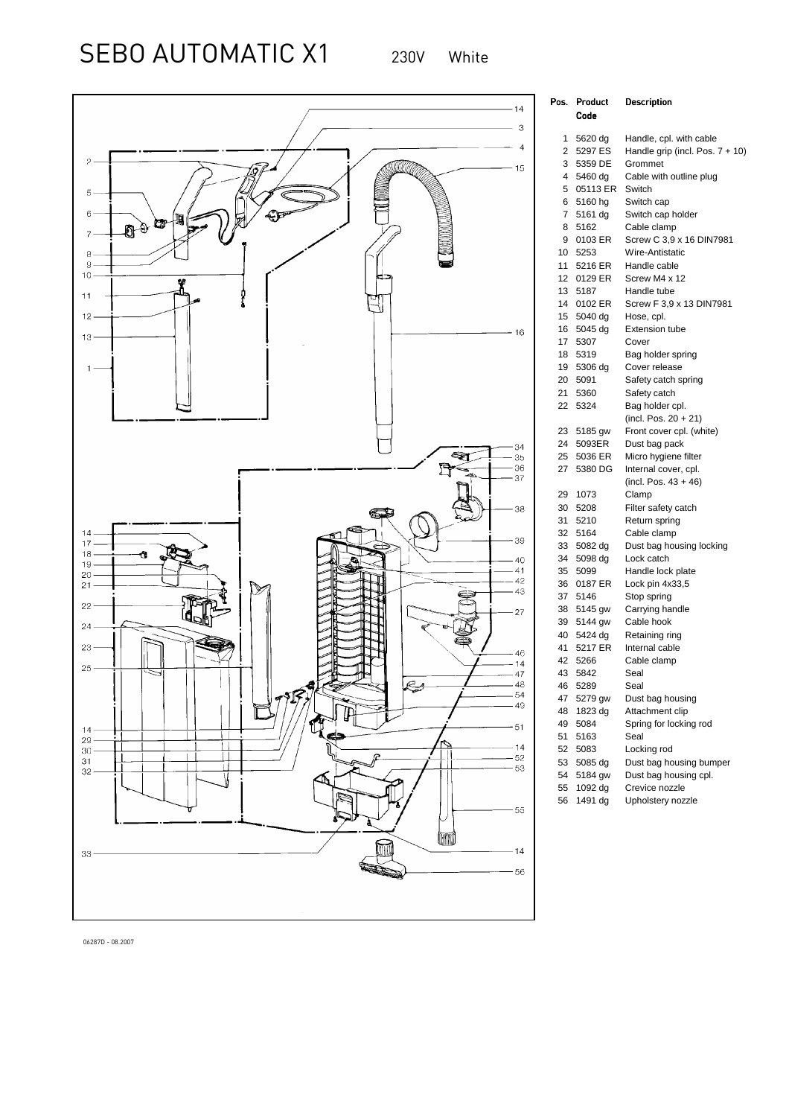SEBO AUTOMATIC X1 230V White



| <sup>)</sup> os. | Product         | Description                        |
|------------------|-----------------|------------------------------------|
|                  | Code            |                                    |
| 1                | 5620 dg         | Handle, cpl. with cable            |
| $\overline{2}$   | 5297 ES         | Handle grip (incl. Pos. $7 + 10$ ) |
| 3                | 5359 DE         | Grommet                            |
| 4                | 5460 dg         | Cable with outline plug            |
| 5                | 05113 ER        | Switch                             |
| 6                | 5160 hg         | Switch cap                         |
| 7                | 5161 dg         | Switch cap holder                  |
| 8                | 5162            | Cable clamp                        |
| 9                | 0103 ER         | Screw C 3,9 x 16 DIN7981           |
| 10               | 5253            | Wire-Antistatic                    |
| 11               | 5216 ER         | Handle cable                       |
| 12               | 0129 ER         | Screw M4 x 12                      |
| 13               | 5187            | Handle tube                        |
| 14               | 0102 ER         | Screw F 3,9 x 13 DIN7981           |
| 15               | 5040 dg         | Hose, cpl.                         |
| 16               | 5045 dg         | <b>Extension tube</b>              |
| 17               | 5307            | Cover                              |
| 18               | 5319            | Bag holder spring                  |
| 19               | 5306 dg         | Cover release                      |
| 20               | 5091            | Safety catch spring                |
| 21               | 5360            | Safety catch                       |
| 22               | 5324            | Bag holder cpl.                    |
|                  |                 | (incl. Pos. $20 + 21$ )            |
| 23               | 5185 gw         | Front cover cpl. (white)           |
|                  | 24 5093ER       | Dust bag pack                      |
| 25               | 5036 ER         | Micro hygiene filter               |
| 27               | 5380 DG         | Internal cover, cpl.               |
|                  |                 | (incl. Pos. $43 + 46$ )            |
| 29               | 1073            | Clamp                              |
| 30               | 5208            | Filter safety catch                |
| 31               | 5210            | Return spring                      |
| 32               | 5164            | Cable clamp                        |
| 33               | 5082 dg         | Dust bag housing locking           |
| 34<br>35         | 5098 dg<br>5099 | Lock catch<br>Handle lock plate    |
| 36               | 0187 ER         |                                    |
| 37               | 5146            | Lock pin 4x33,5<br>Stop spring     |
| 38               | 5145 gw         | Carrying handle                    |
| 39               | 5144 gw         | Cable hook                         |
| 40               | 5424 dg         | Retaining ring                     |
| 41               | 5217 ER         | Internal cable                     |
| 42               | 5266            | Cable clamp                        |
|                  | 43 5842         | Seal                               |
| 46               | 5289            | Seal                               |
| 47               | 5279 gw         | Dust bag housing                   |
| 48               | 1823 dg         | Attachment clip                    |
| 49               | 5084            | Spring for locking rod             |
| 51               | 5163            | Seal                               |
| 52               | 5083            | Locking rod                        |
| 53               | 5085 dg         | Dust bag housing bumper            |
| 54               | 5184 gw         | Dust bag housing cpl.              |
| 55               | 1092 dg         | Crevice nozzle                     |
| 56               | 1491 dg         | Upholstery nozzle                  |

06287D - 08.2007